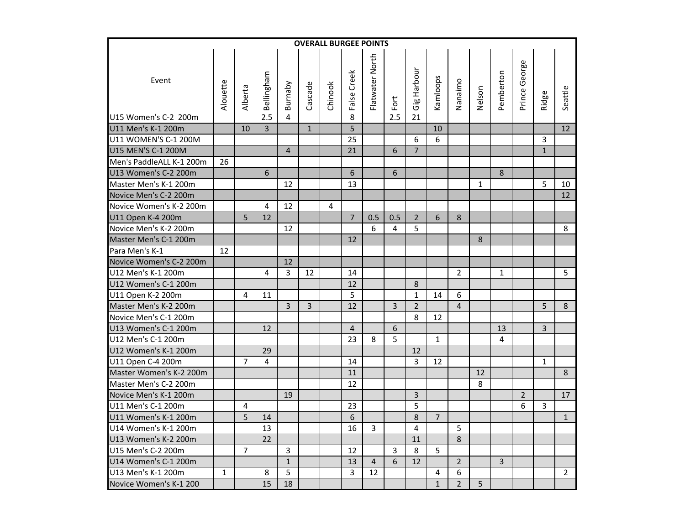|                          |          |                |                |                |              | <b>OVERALL BURGEE POINTS</b> |                |                 |      |                |                |                |        |                |                |              |                |
|--------------------------|----------|----------------|----------------|----------------|--------------|------------------------------|----------------|-----------------|------|----------------|----------------|----------------|--------|----------------|----------------|--------------|----------------|
| Event                    | Alouette | Alberta        | Bellingham     | Burnaby        | Cascade      | Chinook                      | False Creek    | Flatwater North | Fort | Gig Harbour    | Kamloops       | Nanaimo        | Nelson | Pemberton      | Prince George  | Ridge        | Seattle        |
| U15 Women's C-2 200m     |          |                | 2.5            | $\overline{4}$ |              |                              | 8              |                 | 2.5  | 21             |                |                |        |                |                |              |                |
| U11 Men's K-1 200m       |          | 10             | $\overline{3}$ |                | $\mathbf{1}$ |                              | $\overline{5}$ |                 |      |                | 10             |                |        |                |                |              | 12             |
| U11 WOMEN'S C-1 200M     |          |                |                |                |              |                              | 25             |                 |      | 6              | 6              |                |        |                |                | 3            |                |
| U15 MEN'S C-1 200M       |          |                |                | $\overline{4}$ |              |                              | 21             |                 | 6    | $\overline{7}$ |                |                |        |                |                | $\mathbf{1}$ |                |
| Men's PaddleALL K-1 200m | 26       |                |                |                |              |                              |                |                 |      |                |                |                |        |                |                |              |                |
| U13 Women's C-2 200m     |          |                | 6              |                |              |                              | 6              |                 | 6    |                |                |                |        | 8              |                |              |                |
| Master Men's K-1 200m    |          |                |                | 12             |              |                              | 13             |                 |      |                |                |                | 1      |                |                | 5            | 10             |
| Novice Men's C-2 200m    |          |                |                |                |              |                              |                |                 |      |                |                |                |        |                |                |              | 12             |
| Novice Women's K-2 200m  |          |                | 4              | 12             |              | 4                            |                |                 |      |                |                |                |        |                |                |              |                |
| U11 Open K-4 200m        |          | $\overline{5}$ | 12             |                |              |                              | $\overline{7}$ | 0.5             | 0.5  | $\overline{2}$ | 6              | 8              |        |                |                |              |                |
| Novice Men's K-2 200m    |          |                |                | 12             |              |                              |                | 6               | 4    | 5              |                |                |        |                |                |              | 8              |
| Master Men's C-1 200m    |          |                |                |                |              |                              | 12             |                 |      |                |                |                | 8      |                |                |              |                |
| Para Men's K-1           | 12       |                |                |                |              |                              |                |                 |      |                |                |                |        |                |                |              |                |
| Novice Women's C-2 200m  |          |                |                | 12             |              |                              |                |                 |      |                |                |                |        |                |                |              |                |
| U12 Men's K-1 200m       |          |                | 4              | 3              | 12           |                              | 14             |                 |      |                |                | $\overline{2}$ |        | $\mathbf{1}$   |                |              | 5.             |
| U12 Women's C-1 200m     |          |                |                |                |              |                              | 12             |                 |      | 8              |                |                |        |                |                |              |                |
| U11 Open K-2 200m        |          | 4              | 11             |                |              |                              | 5              |                 |      | $\mathbf{1}$   | 14             | 6              |        |                |                |              |                |
| Master Men's K-2 200m    |          |                |                | $\overline{3}$ | 3            |                              | 12             |                 | 3    | $\overline{2}$ |                | $\overline{4}$ |        |                |                | 5            | 8              |
| Novice Men's C-1 200m    |          |                |                |                |              |                              |                |                 |      | 8              | 12             |                |        |                |                |              |                |
| U13 Women's C-1 200m     |          |                | 12             |                |              |                              | $\overline{4}$ |                 | 6    |                |                |                |        | 13             |                | 3            |                |
| U12 Men's C-1 200m       |          |                |                |                |              |                              | 23             | 8               | 5    |                | $\mathbf{1}$   |                |        | $\overline{4}$ |                |              |                |
| U12 Women's K-1 200m     |          |                | 29             |                |              |                              |                |                 |      | 12             |                |                |        |                |                |              |                |
| U11 Open C-4 200m        |          | 7              | 4              |                |              |                              | 14             |                 |      | 3              | 12             |                |        |                |                | $\mathbf{1}$ |                |
| Master Women's K-2 200m  |          |                |                |                |              |                              | 11             |                 |      |                |                |                | 12     |                |                |              | 8              |
| Master Men's C-2 200m    |          |                |                |                |              |                              | 12             |                 |      |                |                |                | 8      |                |                |              |                |
| Novice Men's K-1 200m    |          |                |                | 19             |              |                              |                |                 |      | 3              |                |                |        |                | $\overline{2}$ |              | 17             |
| U11 Men's C-1 200m       |          | 4              |                |                |              |                              | 23             |                 |      | 5              |                |                |        |                | 6              | 3            |                |
| U11 Women's K-1 200m     |          | $\overline{5}$ | 14             |                |              |                              | 6              |                 |      | 8              | $\overline{7}$ |                |        |                |                |              | $\mathbf{1}$   |
| U14 Women's K-1 200m     |          |                | 13             |                |              |                              | 16             | 3               |      | $\overline{4}$ |                | 5              |        |                |                |              |                |
| U13 Women's K-2 200m     |          |                | 22             |                |              |                              |                |                 |      | 11             |                | 8              |        |                |                |              |                |
| U15 Men's C-2 200m       |          | 7              |                | $\overline{3}$ |              |                              | 12             |                 | 3    | 8              | 5              |                |        |                |                |              |                |
| U14 Women's C-1 200m     |          |                |                | $\mathbf{1}$   |              |                              | 13             | $\overline{4}$  | 6    | 12             |                | $\overline{2}$ |        | $\overline{3}$ |                |              |                |
| U13 Men's K-1 200m       | 1        |                | 8              | 5              |              |                              | 3              | 12              |      |                | 4              | 6              |        |                |                |              | $\overline{2}$ |
| Novice Women's K-1 200   |          |                | 15             | 18             |              |                              |                |                 |      |                | $\mathbf{1}$   | $\overline{2}$ | 5      |                |                |              |                |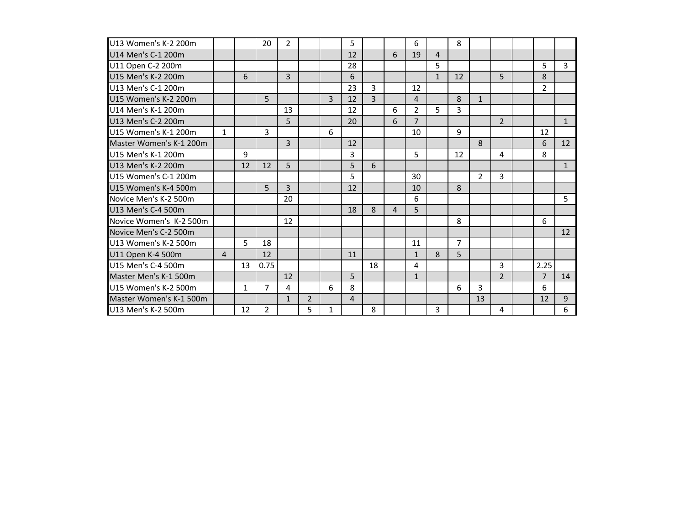| U13 Women's K-2 200m    |   |              | 20             | $\overline{2}$ |                |   | 5              |    |   | 6              |              | 8              |                |                |                |              |
|-------------------------|---|--------------|----------------|----------------|----------------|---|----------------|----|---|----------------|--------------|----------------|----------------|----------------|----------------|--------------|
| U14 Men's C-1 200m      |   |              |                |                |                |   | 12             |    | 6 | 19             | 4            |                |                |                |                |              |
| U11 Open C-2 200m       |   |              |                |                |                |   | 28             |    |   |                | 5            |                |                |                | 5              | 3            |
| U15 Men's K-2 200m      |   | 6            |                | 3              |                |   | 6              |    |   |                | $\mathbf{1}$ | 12             |                | 5              | 8              |              |
| U13 Men's C-1 200m      |   |              |                |                |                |   | 23             | 3  |   | 12             |              |                |                |                | $\overline{2}$ |              |
| U15 Women's K-2 200m    |   |              | 5              |                |                | 3 | 12             | 3  |   | $\overline{4}$ |              | 8              | $\mathbf{1}$   |                |                |              |
| U14 Men's K-1 200m      |   |              |                | 13             |                |   | 12             |    | 6 | $\overline{2}$ | 5.           | 3              |                |                |                |              |
| U13 Men's C-2 200m      |   |              |                | 5              |                |   | 20             |    | 6 | $\overline{7}$ |              |                |                | $\overline{2}$ |                | $\mathbf{1}$ |
| U15 Women's K-1 200m    | 1 |              | 3              |                |                | 6 |                |    |   | 10             |              | 9              |                |                | 12             |              |
| Master Women's K-1 200m |   |              |                | 3              |                |   | 12             |    |   |                |              |                | 8              |                | 6              | 12           |
| U15 Men's K-1 200m      |   | 9            |                |                |                |   | 3              |    |   | 5              |              | 12             |                | 4              | 8              |              |
| U13 Men's K-2 200m      |   | 12           | 12             | 5              |                |   | 5              | 6  |   |                |              |                |                |                |                | $\mathbf{1}$ |
| U15 Women's C-1 200m    |   |              |                |                |                |   | 5              |    |   | 30             |              |                | $\overline{2}$ | 3              |                |              |
| U15 Women's K-4 500m    |   |              | 5              | 3              |                |   | 12             |    |   | 10             |              | 8              |                |                |                |              |
| Novice Men's K-2 500m   |   |              |                | 20             |                |   |                |    |   | 6              |              |                |                |                |                | 5            |
| U13 Men's C-4 500m      |   |              |                |                |                |   | 18             | 8  | 4 | 5              |              |                |                |                |                |              |
| Novice Women's K-2 500m |   |              |                | 12             |                |   |                |    |   |                |              | 8              |                |                | 6              |              |
| Novice Men's C-2 500m   |   |              |                |                |                |   |                |    |   |                |              |                |                |                |                | 12           |
| U13 Women's K-2 500m    |   | 5            | 18             |                |                |   |                |    |   | 11             |              | $\overline{7}$ |                |                |                |              |
| U11 Open K-4 500m       | 4 |              | 12             |                |                |   | 11             |    |   | $\mathbf{1}$   | 8            | 5              |                |                |                |              |
| U15 Men's C-4 500m      |   | 13           | 0.75           |                |                |   |                | 18 |   | 4              |              |                |                | 3              | 2.25           |              |
| Master Men's K-1 500m   |   |              |                | 12             |                |   | 5              |    |   | $\mathbf{1}$   |              |                |                | $\overline{2}$ | 7              | 14           |
| U15 Women's K-2 500m    |   | $\mathbf{1}$ | 7              | 4              |                | 6 | 8              |    |   |                |              | 6              | 3              |                | 6              |              |
| Master Women's K-1 500m |   |              |                | $\mathbf{1}$   | $\overline{2}$ |   | $\overline{4}$ |    |   |                |              |                | 13             |                | 12             | 9            |
| U13 Men's K-2 500m      |   | 12           | $\overline{2}$ |                | 5              | 1 |                | 8  |   |                | 3            |                |                | 4              |                | 6            |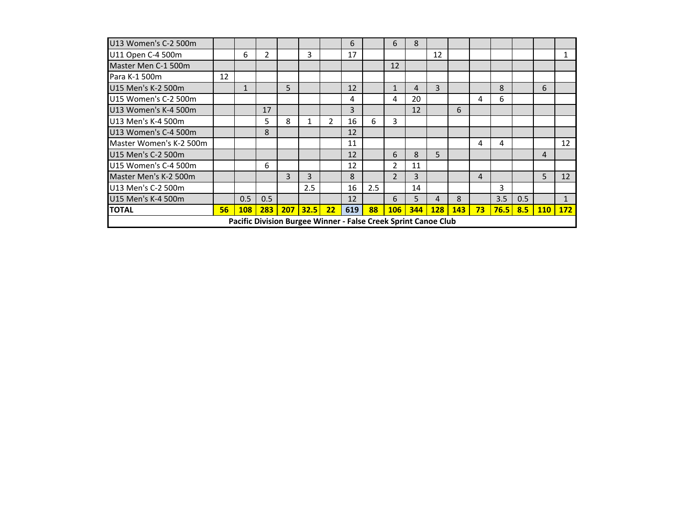|                         |                 | Pacific Division Burgee Winner - False Creek Sprint Canoe Club |                |   |               |                |     |     |                |     |     |            |                 |            |     |     |              |
|-------------------------|-----------------|----------------------------------------------------------------|----------------|---|---------------|----------------|-----|-----|----------------|-----|-----|------------|-----------------|------------|-----|-----|--------------|
| <b>TOTAL</b>            | 56 <sub>2</sub> | 108                                                            | 283            |   | $207$ 32.5 22 |                | 619 | 88  | <b>106</b>     | 344 | 128 | <b>143</b> | 73 <sup>°</sup> | $76.5$ 8.5 |     | 110 | <b>172</b>   |
| U15 Men's K-4 500m      |                 | 0.5                                                            | 0.5            |   |               |                | 12  |     | 6              | 5   | 4   | 8          |                 | 3.5        | 0.5 |     | $\mathbf{1}$ |
| U13 Men's C-2 500m      |                 |                                                                |                |   | 2.5           |                | 16  | 2.5 |                | 14  |     |            |                 | 3          |     |     |              |
| Master Men's K-2 500m   |                 |                                                                |                | 3 | 3             |                | 8   |     | $\overline{2}$ | 3   |     |            | 4               |            |     | 5   | 12           |
| U15 Women's C-4 500m    |                 |                                                                | 6              |   |               |                | 12  |     | $\overline{2}$ | 11  |     |            |                 |            |     |     |              |
| U15 Men's C-2 500m      |                 |                                                                |                |   |               |                | 12  |     | 6              | 8   | 5   |            |                 |            |     | 4   |              |
| Master Women's K-2 500m |                 |                                                                |                |   |               |                | 11  |     |                |     |     |            | 4               | 4          |     |     | 12           |
| U13 Women's C-4 500m    |                 |                                                                | 8              |   |               |                | 12  |     |                |     |     |            |                 |            |     |     |              |
| U13 Men's K-4 500m      |                 |                                                                | 5.             | 8 |               | $\overline{2}$ | 16  | 6   | $\mathbf{3}$   |     |     |            |                 |            |     |     |              |
| U13 Women's K-4 500m    |                 |                                                                | 17             |   |               |                | 3   |     |                | 12  |     | 6          |                 |            |     |     |              |
| U15 Women's C-2 500m    |                 |                                                                |                |   |               |                | 4   |     | 4              | 20  |     |            | 4               | 6          |     |     |              |
| U15 Men's K-2 500m      |                 |                                                                |                | 5 |               |                | 12  |     | 1              | 4   | 3   |            |                 | 8          |     | 6   |              |
| Para K-1 500m           | 12              |                                                                |                |   |               |                |     |     |                |     |     |            |                 |            |     |     |              |
| Master Men C-1 500m     |                 |                                                                |                |   |               |                |     |     | 12             |     |     |            |                 |            |     |     |              |
| U11 Open C-4 500m       |                 | 6                                                              | $\overline{2}$ |   | 3             |                | 17  |     |                |     | 12  |            |                 |            |     |     |              |
| U13 Women's C-2 500m    |                 |                                                                |                |   |               |                | 6   |     | 6              | 8   |     |            |                 |            |     |     |              |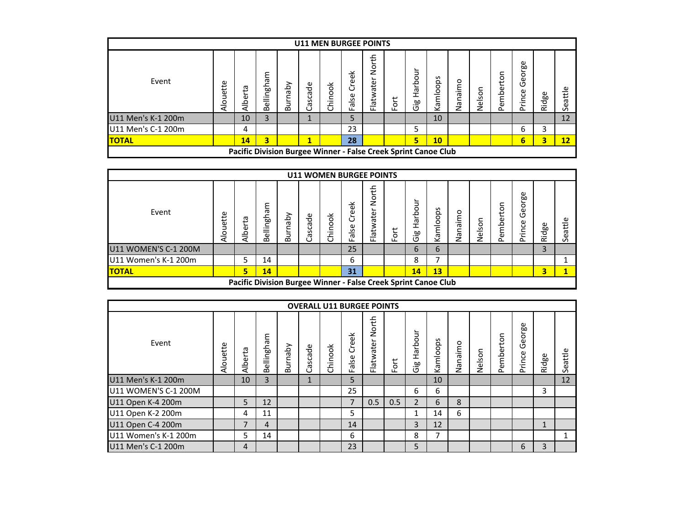|                    |          |                                                                |                            |                  |                | <b>U11 MEN BURGEE POINTS</b> |                                     |                    |   |                                             |           |         |                 |                               |                                                  |       |                       |
|--------------------|----------|----------------------------------------------------------------|----------------------------|------------------|----------------|------------------------------|-------------------------------------|--------------------|---|---------------------------------------------|-----------|---------|-----------------|-------------------------------|--------------------------------------------------|-------|-----------------------|
| Event              | Alouette | Alberta                                                        | ٤<br>nghai<br>ili<br>Belli | Nqeu<br><b>a</b> | Cascade        | Chinook                      | φ<br>$\cup$<br><u>se</u><br>ത<br>ட் | North<br>Flatwater | è | ⊃<br>$\circ$<br>خ<br>انھ<br><u>مه.</u><br>Ō | Kamloops  | Nanaimo | lson<br>ei<br>Z | c<br>S <sub>1</sub><br>Pember | George<br>rince<br>$\mathbf{\underline{\Omega}}$ | Ridge | $t\bar{t}$<br>σ<br>Ğ. |
| U11 Men's K-1 200m |          | 10                                                             | 3                          |                  | $\overline{ }$ |                              |                                     |                    |   |                                             | 10        |         |                 |                               |                                                  |       | 12                    |
| U11 Men's C-1 200m |          | 4                                                              |                            |                  |                |                              | 23                                  |                    |   | 5                                           |           |         |                 |                               | 6                                                | 3     |                       |
| <b>TOTAL</b>       |          | 14                                                             | 3                          |                  | 1              |                              | 28                                  |                    |   | 5                                           | <b>10</b> |         |                 |                               | 6                                                | 3     | 12                    |
|                    |          | Pacific Division Burgee Winner - False Creek Sprint Canoe Club |                            |                  |                |                              |                                     |                    |   |                                             |           |         |                 |                               |                                                  |       |                       |

|                      |          |             |                 |                    |         |         | <b>U11 WOMEN BURGEE POINTS</b>                                 |                    |          |                              |                                      |         |        |                |                  |       |         |
|----------------------|----------|-------------|-----------------|--------------------|---------|---------|----------------------------------------------------------------|--------------------|----------|------------------------------|--------------------------------------|---------|--------|----------------|------------------|-------|---------|
| Event                | Alouette | £,<br>Alber | ωe<br>Bellingha | ➢<br>hab<br>≒<br>D | Cascade | Chinook | る<br>$\omega$<br>ں<br>$\mathsf{se}$<br>ത<br>ட                  | North<br>Flatwater | ort<br>ட | 3<br>Harbo<br>œ<br>._<br>(5) | ops<br>$\overline{\circ}$<br>Ξ<br>₹ē | Nanaimo | Nelson | ξ<br>mbei<br>ω | George<br>Prince | Ridge | Seattle |
| U11 WOMEN'S C-1 200M |          |             |                 |                    |         |         | 25                                                             |                    |          | 6                            | 6                                    |         |        |                |                  | 3     |         |
| U11 Women's K-1 200m |          | 5           | 14              |                    |         |         | 6                                                              |                    |          | 8                            |                                      |         |        |                |                  |       |         |
| <b>ITOTAL</b>        |          | 5           | 14              |                    |         |         | 31                                                             |                    |          | 14                           | 13                                   |         |        |                |                  | 3     |         |
|                      |          |             |                 |                    |         |         | Pacific Division Burgee Winner - False Creek Sprint Canoe Club |                    |          |                              |                                      |         |        |                |                  |       |         |

|                      |          |         |            |         |              |         |                          | <b>OVERALL U11 BURGEE POINTS</b> |     |                        |          |         |        |           |                  |       |         |
|----------------------|----------|---------|------------|---------|--------------|---------|--------------------------|----------------------------------|-----|------------------------|----------|---------|--------|-----------|------------------|-------|---------|
| Event                | Alouette | Alberta | Bellingham | Burnaby | ascade<br>ت  | Chinook | Creek<br>alse<br>Ш.      | North<br>Flatwater               | For | Ξ<br>arboi<br>Ĩ<br>Gig | Kamloops | Nanaimo | Nelson | Pemberton | George<br>Prince | Ridge | Seattle |
| U11 Men's K-1 200m   |          | 10      | 3          |         | $\mathbf{1}$ |         | 5                        |                                  |     |                        | 10       |         |        |           |                  |       | 12      |
| U11 WOMEN'S C-1 200M |          |         |            |         |              |         | 25                       |                                  |     | 6                      | 6        |         |        |           |                  | 3     |         |
| U11 Open K-4 200m    |          | 5       | 12         |         |              |         | $\overline{\phantom{a}}$ | 0.5                              | 0.5 | $\overline{2}$         | 6        | 8       |        |           |                  |       |         |
| U11 Open K-2 200m    |          | 4       | 11         |         |              |         | 5                        |                                  |     | 1                      | 14       | 6       |        |           |                  |       |         |
| U11 Open C-4 200m    |          | 7       | 4          |         |              |         | 14                       |                                  |     | $\overline{3}$         | 12       |         |        |           |                  |       |         |
| U11 Women's K-1 200m |          | 5       | 14         |         |              |         | 6                        |                                  |     | 8                      | 7        |         |        |           |                  |       | 1       |
| U11 Men's C-1 200m   |          | 4       |            |         |              |         | 23                       |                                  |     | 5                      |          |         |        |           | 6                | 3     |         |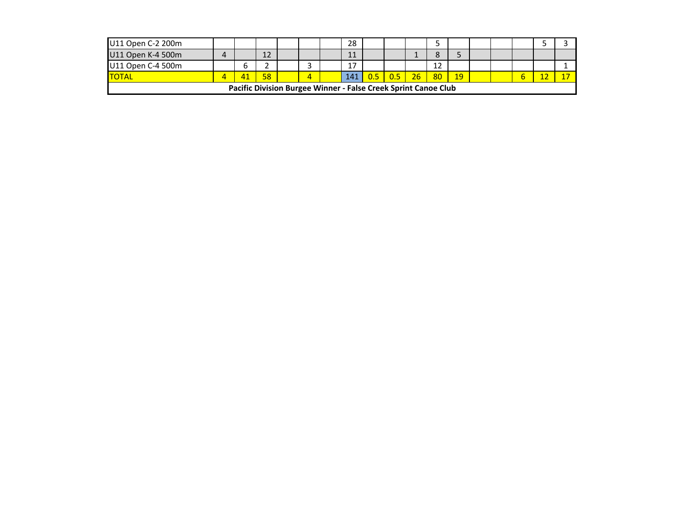| U11 Open C-2 200m |  |    |                                                                |   | 28     |    |    |    |              |  |  |  |
|-------------------|--|----|----------------------------------------------------------------|---|--------|----|----|----|--------------|--|--|--|
| U11 Open K-4 500m |  |    |                                                                |   | 11     |    |    |    |              |  |  |  |
| U11 Open C-4 500m |  |    |                                                                |   | $\sim$ |    |    |    |              |  |  |  |
| <b>TOTAL</b>      |  | 58 |                                                                | 4 | 141    | 05 | 26 | 80 | $ 19\rangle$ |  |  |  |
|                   |  |    | Pacific Division Burgee Winner - False Creek Sprint Canoe Club |   |        |    |    |    |              |  |  |  |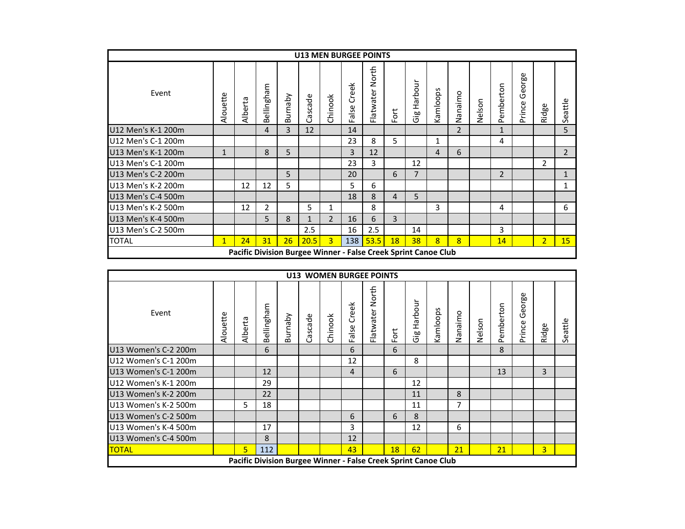|                    |              |                                                                |                |            |              |                |                     | <b>U13 MEN BURGEE POINTS</b> |     |                |          |                |        |                |                  |                |                |
|--------------------|--------------|----------------------------------------------------------------|----------------|------------|--------------|----------------|---------------------|------------------------------|-----|----------------|----------|----------------|--------|----------------|------------------|----------------|----------------|
| Event              | Alouette     | Alberta                                                        | Bellingham     | ydenn<br>മ | Cascade      | Chinook        | Creek<br>alse<br>ட் | North<br>Flatwater           | For | Harbour<br>Gig | Kamloops | Nanaimo        | Nelson | Pemberton      | George<br>Prince | Ridge          | Seattle        |
| U12 Men's K-1 200m |              |                                                                | 4              | 3          | 12           |                | 14                  |                              |     |                |          | $\overline{2}$ |        | 1              |                  |                | 5              |
| U12 Men's C-1 200m |              |                                                                |                |            |              |                | 23                  | 8                            | 5   |                | 1        |                |        | 4              |                  |                |                |
| U13 Men's K-1 200m | $\mathbf{1}$ |                                                                | 8              | 5          |              |                | 3                   | 12                           |     |                | 4        | 6              |        |                |                  |                | $\overline{2}$ |
| U13 Men's C-1 200m |              |                                                                |                |            |              |                | 23                  | 3                            |     | 12             |          |                |        |                |                  | $\overline{2}$ |                |
| U13 Men's C-2 200m |              |                                                                |                | 5          |              |                | 20                  |                              | 6   | 7              |          |                |        | $\overline{2}$ |                  |                | 1              |
| U13 Men's K-2 200m |              | 12                                                             | 12             | 5          |              |                | 5                   | 6                            |     |                |          |                |        |                |                  |                | 1              |
| U13 Men's C-4 500m |              |                                                                |                |            |              |                | 18                  | 8                            | 4   | 5              |          |                |        |                |                  |                |                |
| U13 Men's K-2 500m |              | 12                                                             | $\overline{2}$ |            | 5            | 1              |                     | 8                            |     |                | 3        |                |        | 4              |                  |                | 6              |
| U13 Men's K-4 500m |              |                                                                | 5              | 8          | $\mathbf{1}$ | $\overline{2}$ | 16                  | 6                            | 3   |                |          |                |        |                |                  |                |                |
| U13 Men's C-2 500m |              |                                                                |                |            | 2.5          |                | 16                  | 2.5                          |     | 14             |          |                |        | 3              |                  |                |                |
| <b>TOTAL</b>       | $\mathbf{1}$ | 24                                                             | 31             | 26         | 20.5         | $\overline{3}$ | 138                 | 53.5                         | 18  | 38             | 8        | $\overline{8}$ |        | 14             |                  | 2 <sup>1</sup> | 15             |
|                    |              | Pacific Division Burgee Winner - False Creek Sprint Canoe Club |                |            |              |                |                     |                              |     |                |          |                |        |                |                  |                |                |

|                      |          |         |            |         |         | <b>U13 WOMEN BURGEE POINTS</b>                                 |                |                    |      |                 |          |         |        |               |                  |                |         |
|----------------------|----------|---------|------------|---------|---------|----------------------------------------------------------------|----------------|--------------------|------|-----------------|----------|---------|--------|---------------|------------------|----------------|---------|
| Event                | Alouette | Alberta | Bellingham | Burnaby | Cascade | Chinook                                                        | Creek<br>False | North<br>Flatwater | Fort | Harbour<br>Gigo | Kamloops | Nanaimo | Nelson | c<br>Pemberto | George<br>Prince | Ridge          | Seattle |
| U13 Women's C-2 200m |          |         | 6          |         |         |                                                                | 6              |                    | 6    |                 |          |         |        | 8             |                  |                |         |
| U12 Women's C-1 200m |          |         |            |         |         |                                                                | 12             |                    |      | 8               |          |         |        |               |                  |                |         |
| U13 Women's C-1 200m |          |         | 12         |         |         |                                                                | 4              |                    | 6    |                 |          |         |        | 13            |                  | 3              |         |
| U12 Women's K-1 200m |          |         | 29         |         |         |                                                                |                |                    |      | 12              |          |         |        |               |                  |                |         |
| U13 Women's K-2 200m |          |         | 22         |         |         |                                                                |                |                    |      | 11              |          | 8       |        |               |                  |                |         |
| U13 Women's K-2 500m |          | 5.      | 18         |         |         |                                                                |                |                    |      | 11              |          | 7       |        |               |                  |                |         |
| U13 Women's C-2 500m |          |         |            |         |         |                                                                | 6              |                    | 6    | 8               |          |         |        |               |                  |                |         |
| U13 Women's K-4 500m |          |         | 17         |         |         |                                                                | 3              |                    |      | 12              |          | 6       |        |               |                  |                |         |
| U13 Women's C-4 500m |          |         | 8          |         |         |                                                                | 12             |                    |      |                 |          |         |        |               |                  |                |         |
| <b>TOTAL</b>         |          | 5       | 112        |         |         |                                                                | 43             |                    | 18   | 62              |          | 21      |        | 21            |                  | $\overline{3}$ |         |
|                      |          |         |            |         |         | Pacific Division Burgee Winner - False Creek Sprint Canoe Club |                |                    |      |                 |          |         |        |               |                  |                |         |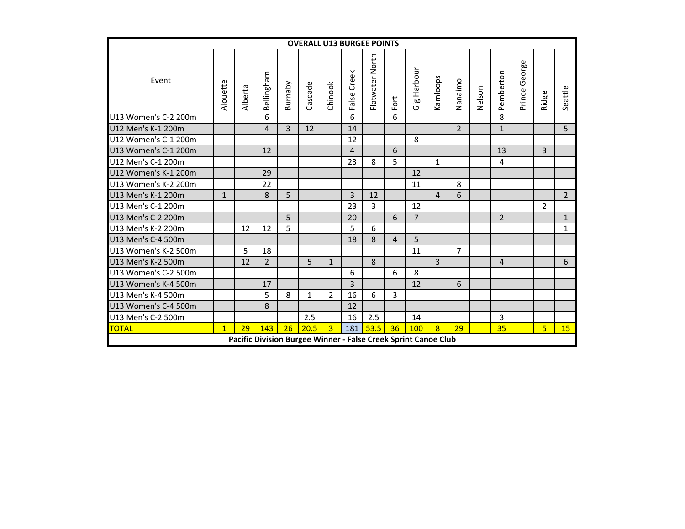|                                                              |              |         |                |         |         |                |                | <b>OVERALL U13 BURGEE POINTS</b>                               |                |                |                |                |        |                |               |                |              |
|--------------------------------------------------------------|--------------|---------|----------------|---------|---------|----------------|----------------|----------------------------------------------------------------|----------------|----------------|----------------|----------------|--------|----------------|---------------|----------------|--------------|
| Event                                                        | Alouette     | Alberta | Bellingham     | Burnaby | Cascade | Chinook        | Creek<br>False | Flatwater North                                                | Fort           | Harbour<br>Gig | Kamloops       | Nanaimo        | Nelson | Pemberton      | Prince George | Ridge          | Seattle      |
| U13 Women's C-2 200m                                         |              |         | 6              |         |         |                | 6              |                                                                | 6              |                |                |                |        | 8              |               |                |              |
| U12 Men's K-1 200m                                           |              |         | 4              | 3       | 12      |                | 14             |                                                                |                |                |                | $\overline{2}$ |        | $\mathbf{1}$   |               |                | 5            |
| 8<br>12<br>6<br>12<br>13<br>$\overline{3}$<br>$\overline{4}$ |              |         |                |         |         |                |                |                                                                |                |                |                |                |        |                |               |                |              |
| U12 Women's C-1 200m<br>U13 Women's C-1 200m                 |              |         |                |         |         |                |                |                                                                |                |                |                |                |        |                |               |                |              |
| U12 Men's C-1 200m                                           |              |         |                |         |         |                | 23             | 8                                                              | 5.             |                | $\mathbf{1}$   |                |        | 4              |               |                |              |
| U12 Women's K-1 200m                                         |              |         | 29             |         |         |                |                |                                                                |                | 12             |                |                |        |                |               |                |              |
| U13 Women's K-2 200m                                         |              |         | 22             |         |         |                |                |                                                                |                | 11             |                | 8              |        |                |               |                |              |
| U13 Men's K-1 200m                                           | $\mathbf{1}$ |         | 8              | 5       |         |                | 3              | 12                                                             |                |                | $\overline{4}$ | 6              |        |                |               |                | $2^{\circ}$  |
| U13 Men's C-1 200m                                           |              |         |                |         |         |                | 23             | 3                                                              |                | 12             |                |                |        |                |               | $\overline{2}$ |              |
| U13 Men's C-2 200m                                           |              |         |                | 5       |         |                | 20             |                                                                | 6              | $\overline{7}$ |                |                |        | $\overline{2}$ |               |                | $\mathbf{1}$ |
| U13 Men's K-2 200m                                           |              | 12      | 12             | 5       |         |                | 5              | 6                                                              |                |                |                |                |        |                |               |                | $\mathbf{1}$ |
| U13 Men's C-4 500m                                           |              |         |                |         |         |                | 18             | 8                                                              | $\overline{4}$ | 5              |                |                |        |                |               |                |              |
| U13 Women's K-2 500m                                         |              | 5       | 18             |         |         |                |                |                                                                |                | 11             |                | $\overline{7}$ |        |                |               |                |              |
| U13 Men's K-2 500m                                           |              | 12      | $\overline{2}$ |         | 5       | $\mathbf{1}$   |                | 8                                                              |                |                | 3              |                |        | $\overline{4}$ |               |                | 6            |
| U13 Women's C-2 500m                                         |              |         |                |         |         |                | 6              |                                                                | 6              | 8              |                |                |        |                |               |                |              |
| U13 Women's K-4 500m                                         |              |         | 17             |         |         |                | $\overline{3}$ |                                                                |                | 12             |                | 6              |        |                |               |                |              |
| U13 Men's K-4 500m                                           |              |         | 5              | 8       | 1       | $\overline{2}$ | 16             | 6                                                              | 3              |                |                |                |        |                |               |                |              |
| U13 Women's C-4 500m                                         |              |         | 8              |         |         |                | 12             |                                                                |                |                |                |                |        |                |               |                |              |
| U13 Men's C-2 500m                                           |              |         |                |         | 2.5     |                | 16             | 2.5                                                            |                | 14             |                |                |        | 3              |               |                |              |
| <b>TOTAL</b>                                                 | $\mathbf{1}$ | 29      | 143            | 26      | 20.5    | $\overline{3}$ | 181            | 53.5                                                           | 36             | 100            | $\overline{8}$ | 29             |        | 35             |               | 5              | 15           |
|                                                              |              |         |                |         |         |                |                | Pacific Division Burgee Winner - False Creek Sprint Canoe Club |                |                |                |                |        |                |               |                |              |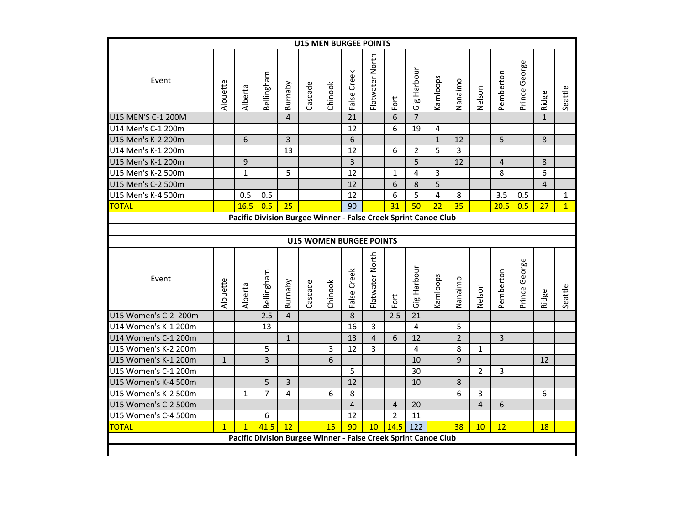|                      |              |                                                                |            |                | <b>U15 MEN BURGEE POINTS</b> |                                |                |                 |                 |                |                |                |                |                |               |                |                |
|----------------------|--------------|----------------------------------------------------------------|------------|----------------|------------------------------|--------------------------------|----------------|-----------------|-----------------|----------------|----------------|----------------|----------------|----------------|---------------|----------------|----------------|
| Event                | Alouette     | Alberta                                                        | Bellingham | Burnaby        | Cascade                      | Chinook                        | False Creek    | Flatwater North | Fort            | Gig Harbour    | Kamloops       | Nanaimo        | Nelson         | Pemberton      | Prince George | Ridge          | Seattle        |
| U15 MEN'S C-1 200M   |              |                                                                |            | $\overline{4}$ |                              |                                | 21             |                 | 6               | $\overline{7}$ |                |                |                |                |               | $\mathbf{1}$   |                |
| U14 Men's C-1 200m   |              |                                                                |            |                |                              |                                | 12             |                 | 6               | 19             | 4              |                |                |                |               |                |                |
| U15 Men's K-2 200m   |              | 6                                                              |            | 3              |                              |                                | 6              |                 |                 |                | $\mathbf{1}$   | 12             |                | 5              |               | 8              |                |
| U14 Men's K-1 200m   |              |                                                                |            | 13             |                              |                                | 12             |                 | 6               | $\overline{2}$ | 5              | 3              |                |                |               |                |                |
| U15 Men's K-1 200m   |              | $\mathsf 9$                                                    |            |                |                              |                                | $\overline{3}$ |                 |                 | 5              |                | 12             |                | $\overline{4}$ |               | 8              |                |
| U15 Men's K-2 500m   |              | $\mathbf{1}$                                                   |            | 5              |                              |                                | 12             |                 | $\mathbf{1}$    | 4              | 3              |                |                | 8              |               | 6              |                |
| U15 Men's C-2 500m   |              |                                                                |            |                |                              |                                | 12             |                 | 6               | 8              | 5              |                |                |                |               | $\overline{4}$ |                |
| U15 Men's K-4 500m   |              | 0.5                                                            | 0.5        |                |                              |                                | 12             |                 | 6               | 5              | $\overline{4}$ | 8              |                | 3.5            | 0.5           |                | $\mathbf{1}$   |
| <b>TOTAL</b>         |              | 16.5                                                           | 0.5        | 25             |                              |                                | 90             |                 | 31              | 50             | 22             | 35             |                | 20.5           | 0.5           | 27             | $\overline{1}$ |
|                      |              | Pacific Division Burgee Winner - False Creek Sprint Canoe Club |            |                |                              |                                |                |                 |                 |                |                |                |                |                |               |                |                |
|                      |              |                                                                |            |                |                              |                                |                |                 |                 |                |                |                |                |                |               |                |                |
|                      |              |                                                                |            |                |                              | <b>U15 WOMEN BURGEE POINTS</b> |                |                 |                 |                |                |                |                |                |               |                |                |
| Event                | Alouette     | Alberta                                                        | Bellingham | Burnaby        | Cascade                      | Chinook                        | False Creek    | Flatwater North |                 | Gig Harbour    | Kamloops       | Nanaimo        | Nelson         | Pemberton      | Prince George |                | Seattle        |
|                      |              |                                                                |            |                |                              |                                |                |                 |                 |                |                |                |                |                |               |                |                |
| U15 Women's C-2 200m |              |                                                                | 2.5        | $\overline{4}$ |                              |                                | 8              |                 | Fort<br>2.5     | 21             |                |                |                |                |               | Ridge          |                |
| U14 Women's K-1 200m |              |                                                                | 13         |                |                              |                                | 16             | 3               |                 | $\overline{4}$ |                | 5              |                |                |               |                |                |
| U14 Women's C-1 200m |              |                                                                |            | $\mathbf{1}$   |                              |                                | 13             | $\overline{4}$  | $6\overline{6}$ | 12             |                | $\overline{2}$ |                | $\overline{3}$ |               |                |                |
| U15 Women's K-2 200m |              |                                                                | 5          |                |                              | 3                              | 12             | 3               |                 | 4              |                | 8              | $\mathbf{1}$   |                |               |                |                |
| U15 Women's K-1 200m | $\mathbf{1}$ |                                                                | 3          |                |                              | 6                              |                |                 |                 | 10             |                | 9              |                |                |               | 12             |                |
| U15 Women's C-1 200m |              |                                                                |            |                |                              |                                | 5              |                 |                 | 30             |                |                | $\overline{2}$ | 3              |               |                |                |
| U15 Women's K-4 500m |              |                                                                | 5          | $\overline{3}$ |                              |                                | 12             |                 |                 | 10             |                | 8              |                |                |               |                |                |
| U15 Women's K-2 500m |              | $\mathbf{1}$                                                   | 7          | 4              |                              | 6                              | 8              |                 |                 |                |                | 6              | 3              |                |               | 6              |                |
| U15 Women's C-2 500m |              |                                                                |            |                |                              |                                | $\overline{4}$ |                 | 4               | 20             |                |                | 4              | 6              |               |                |                |
| U15 Women's C-4 500m |              |                                                                | 6          |                |                              |                                | 12             |                 | $\overline{2}$  | 11             |                |                |                |                |               |                |                |
| <b>TOTAL</b>         | $\mathbf{1}$ | $\mathbf{1}$                                                   | 41.5       | 12             |                              | 15                             | 90             | 10 <sup>°</sup> | 14.5            | 122            |                | 38             | 10             | 12             |               | <b>18</b>      |                |
|                      |              | Pacific Division Burgee Winner - False Creek Sprint Canoe Club |            |                |                              |                                |                |                 |                 |                |                |                |                |                |               |                |                |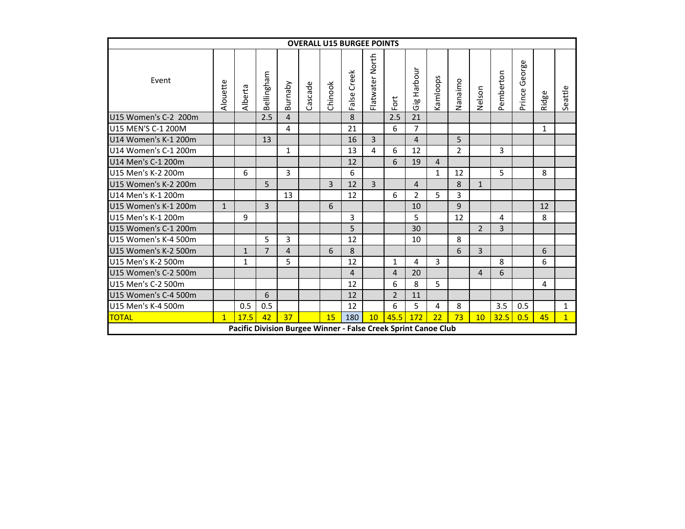|                                                                                                                                                   |              |                                                                |                |                |         | <b>OVERALL U15 BURGEE POINTS</b> |                |                 |                |                |              |              |                |                |                  |              |                |
|---------------------------------------------------------------------------------------------------------------------------------------------------|--------------|----------------------------------------------------------------|----------------|----------------|---------|----------------------------------|----------------|-----------------|----------------|----------------|--------------|--------------|----------------|----------------|------------------|--------------|----------------|
| Event                                                                                                                                             | Alouette     | Alberta                                                        | Bellingham     | Burnaby        | Cascade | Chinook                          | Creek<br>False | Flatwater North | Fort           | Harbour<br>Gig | Kamloops     | Nanaimo      | Nelson         | Pemberton      | George<br>Prince | Ridge        | Seattle        |
| U15 Women's C-2 200m                                                                                                                              |              |                                                                | 2.5            | $\overline{4}$ |         |                                  | 8              |                 | 2.5            | 21             |              |              |                |                |                  |              |                |
| U15 MEN'S C-1 200M                                                                                                                                |              |                                                                |                | 4              |         |                                  | 21             |                 | 6              | $\overline{7}$ |              |              |                |                |                  | $\mathbf{1}$ |                |
| 3<br>5<br>U14 Women's K-1 200m<br>13<br>16<br>$\overline{4}$<br>U14 Women's C-1 200m<br>$\overline{2}$<br>3<br>4<br>6<br>12<br>$\mathbf{1}$<br>13 |              |                                                                |                |                |         |                                  |                |                 |                |                |              |              |                |                |                  |              |                |
|                                                                                                                                                   |              |                                                                |                |                |         |                                  |                |                 |                |                |              |              |                |                |                  |              |                |
| U14 Men's C-1 200m                                                                                                                                |              |                                                                |                |                |         |                                  | 12             |                 | 6              | 19             | 4            |              |                |                |                  |              |                |
| U15 Men's K-2 200m                                                                                                                                |              | 6                                                              |                | 3              |         |                                  | 6              |                 |                |                | $\mathbf{1}$ | 12           |                | 5              |                  | 8            |                |
| U15 Women's K-2 200m                                                                                                                              |              |                                                                | 5              |                |         | $\overline{3}$                   | 12             | 3               |                | 4              |              | 8            | $\mathbf{1}$   |                |                  |              |                |
| U14 Men's K-1 200m                                                                                                                                |              |                                                                |                | 13             |         |                                  | 12             |                 | 6              | $\overline{2}$ | 5            | 3            |                |                |                  |              |                |
| U15 Women's K-1 200m                                                                                                                              | $\mathbf{1}$ |                                                                | 3              |                |         | 6                                |                |                 |                | 10             |              | $\mathbf{q}$ |                |                |                  | 12           |                |
| U15 Men's K-1 200m                                                                                                                                |              | 9                                                              |                |                |         |                                  | 3              |                 |                | 5              |              | 12           |                | 4              |                  | 8            |                |
| U15 Women's C-1 200m                                                                                                                              |              |                                                                |                |                |         |                                  | 5              |                 |                | 30             |              |              | $\overline{2}$ | $\overline{3}$ |                  |              |                |
| U15 Women's K-4 500m                                                                                                                              |              |                                                                | 5              | 3              |         |                                  | 12             |                 |                | 10             |              | 8            |                |                |                  |              |                |
| U15 Women's K-2 500m                                                                                                                              |              | $\mathbf{1}$                                                   | $\overline{7}$ | $\overline{4}$ |         | 6                                | 8              |                 |                |                |              | 6            | $\overline{3}$ |                |                  | 6            |                |
| U15 Men's K-2 500m                                                                                                                                |              | $\mathbf{1}$                                                   |                | 5              |         |                                  | 12             |                 | $\mathbf{1}$   | 4              | 3            |              |                | 8              |                  | 6            |                |
| U15 Women's C-2 500m                                                                                                                              |              |                                                                |                |                |         |                                  | 4              |                 | 4              | 20             |              |              | 4              | 6              |                  |              |                |
| U15 Men's C-2 500m                                                                                                                                |              |                                                                |                |                |         |                                  | 12             |                 | 6              | 8              | 5            |              |                |                |                  | 4            |                |
| U15 Women's C-4 500m                                                                                                                              |              |                                                                | 6              |                |         |                                  | 12             |                 | $\overline{2}$ | 11             |              |              |                |                |                  |              |                |
| U15 Men's K-4 500m                                                                                                                                |              | 0.5                                                            | 0.5            |                |         |                                  | 12             |                 | 6              | 5              | 4            | 8            |                | 3.5            | 0.5              |              | $\mathbf{1}$   |
| <b>TOTAL</b>                                                                                                                                      | $\mathbf{1}$ | 17.5                                                           | 42             | 37             |         | 15                               | 180            | 10              | 45.5           | 172            | 22           | 73           | 10             | 32.5           | 0.5              | 45           | $\overline{1}$ |
|                                                                                                                                                   |              | Pacific Division Burgee Winner - False Creek Sprint Canoe Club |                |                |         |                                  |                |                 |                |                |              |              |                |                |                  |              |                |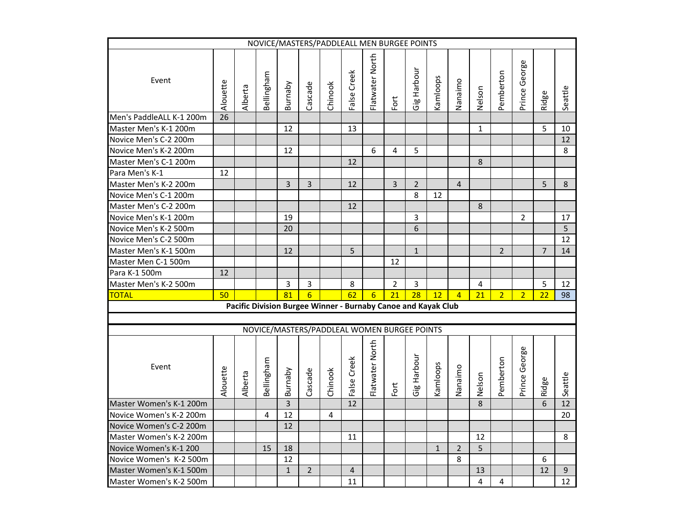| NOVICE/MASTERS/PADDLEALL MEN BURGEE POINTS                    |                                             |         |            |                 |                  |         |                |                 |                |                |              |                |              |                |                |                |         |
|---------------------------------------------------------------|---------------------------------------------|---------|------------|-----------------|------------------|---------|----------------|-----------------|----------------|----------------|--------------|----------------|--------------|----------------|----------------|----------------|---------|
| Event                                                         | Alouette                                    | Alberta | Bellingham | Burnaby         | Cascade          | Chinook | False Creek    | Flatwater North | Fort           | Gig Harbour    | Kamloops     | Nanaimo        | Nelson       | Pemberton      | Prince George  | Ridge          | Seattle |
| Men's PaddleALL K-1 200m                                      | $\overline{26}$                             |         |            |                 |                  |         |                |                 |                |                |              |                |              |                |                |                |         |
| Master Men's K-1 200m                                         |                                             |         |            | 12              |                  |         | 13             |                 |                |                |              |                | $\mathbf{1}$ |                |                | 5              | 10      |
| Novice Men's C-2 200m                                         |                                             |         |            |                 |                  |         |                |                 |                |                |              |                |              |                |                |                | 12      |
| Novice Men's K-2 200m                                         |                                             |         |            | 12              |                  |         |                | 6               | $\overline{4}$ | 5              |              |                |              |                |                |                | 8       |
| Master Men's C-1 200m                                         |                                             |         |            |                 |                  |         | 12             |                 |                |                |              |                | 8            |                |                |                |         |
| Para Men's K-1                                                | 12                                          |         |            |                 |                  |         |                |                 |                |                |              |                |              |                |                |                |         |
| Master Men's K-2 200m                                         |                                             |         |            | $\overline{3}$  | $\overline{3}$   |         | 12             |                 | $\overline{3}$ | $\overline{2}$ |              | $\overline{4}$ |              |                |                | 5              | 8       |
| Novice Men's C-1 200m                                         |                                             |         |            |                 |                  |         |                |                 |                | 8              | 12           |                |              |                |                |                |         |
| Master Men's C-2 200m                                         |                                             |         |            |                 |                  |         | 12             |                 |                |                |              |                | 8            |                |                |                |         |
| Novice Men's K-1 200m                                         |                                             |         |            | 19              |                  |         |                |                 |                | 3              |              |                |              |                | $\overline{2}$ |                | 17      |
| Novice Men's K-2 500m                                         |                                             |         |            | 20              |                  |         |                |                 |                | 6              |              |                |              |                |                |                | 5       |
| Novice Men's C-2 500m                                         |                                             |         |            |                 |                  |         |                |                 |                |                |              |                |              |                |                |                | 12      |
| Master Men's K-1 500m                                         |                                             |         |            | 12              |                  |         | 5              |                 |                | $\mathbf{1}$   |              |                |              | $\overline{2}$ |                | $\overline{7}$ | 14      |
| Master Men C-1 500m                                           |                                             |         |            |                 |                  |         |                |                 | 12             |                |              |                |              |                |                |                |         |
| Para K-1 500m                                                 | 12                                          |         |            |                 |                  |         |                |                 |                |                |              |                |              |                |                |                |         |
| Master Men's K-2 500m                                         |                                             |         |            | $\overline{3}$  | $\overline{3}$   |         | 8              |                 | $\overline{2}$ | $\overline{3}$ |              |                | 4            |                |                | 5              | 12      |
| <b>TOTAL</b>                                                  | 50                                          |         |            | $\overline{81}$ | $6 \overline{6}$ |         | 62             | $6\overline{6}$ | 21             | 28             | 12           | $\overline{4}$ | 21           | $\overline{2}$ | $\overline{2}$ | 22             | 98      |
|                                                               |                                             |         |            |                 |                  |         |                |                 |                |                |              |                |              |                |                |                |         |
| Pacific Division Burgee Winner - Burnaby Canoe and Kayak Club |                                             |         |            |                 |                  |         |                |                 |                |                |              |                |              |                |                |                |         |
|                                                               | NOVICE/MASTERS/PADDLEAL WOMEN BURGEE POINTS |         |            |                 |                  |         |                |                 |                |                |              |                |              |                |                |                |         |
| Event                                                         | Alouette                                    | Alberta | Bellingham | Burnaby         | Cascade          | Chinook | False Creek    | Flatwater North | Fort           | Gig Harbour    | Kamloops     | Nanaimo        | Nelson       | Pemberton      | Prince George  | Ridge          | Seattle |
| Master Women's K-1 200m                                       |                                             |         |            | $\overline{3}$  |                  |         | 12             |                 |                |                |              |                | $\mathbf{8}$ |                |                | 6              | 12      |
| Novice Women's K-2 200m                                       |                                             |         | 4          | 12              |                  | 4       |                |                 |                |                |              |                |              |                |                |                | 20      |
| Novice Women's C-2 200m                                       |                                             |         |            | 12              |                  |         |                |                 |                |                |              |                |              |                |                |                |         |
| Master Women's K-2 200m                                       |                                             |         |            |                 |                  |         | 11             |                 |                |                |              |                | 12           |                |                |                | 8       |
| Novice Women's K-1 200                                        |                                             |         | 15         | 18              |                  |         |                |                 |                |                | $\mathbf{1}$ | $\overline{2}$ | 5            |                |                |                |         |
| Novice Women's K-2 500m                                       |                                             |         |            | 12              |                  |         |                |                 |                |                |              | 8              |              |                |                | 6              |         |
| Master Women's K-1 500m                                       |                                             |         |            | $\mathbf{1}$    | $\overline{2}$   |         | $\overline{4}$ |                 |                |                |              |                | 13           |                |                | 12             | 9       |
| Master Women's K-2 500m                                       |                                             |         |            |                 |                  |         | 11             |                 |                |                |              |                | 4            | 4              |                |                | 12      |